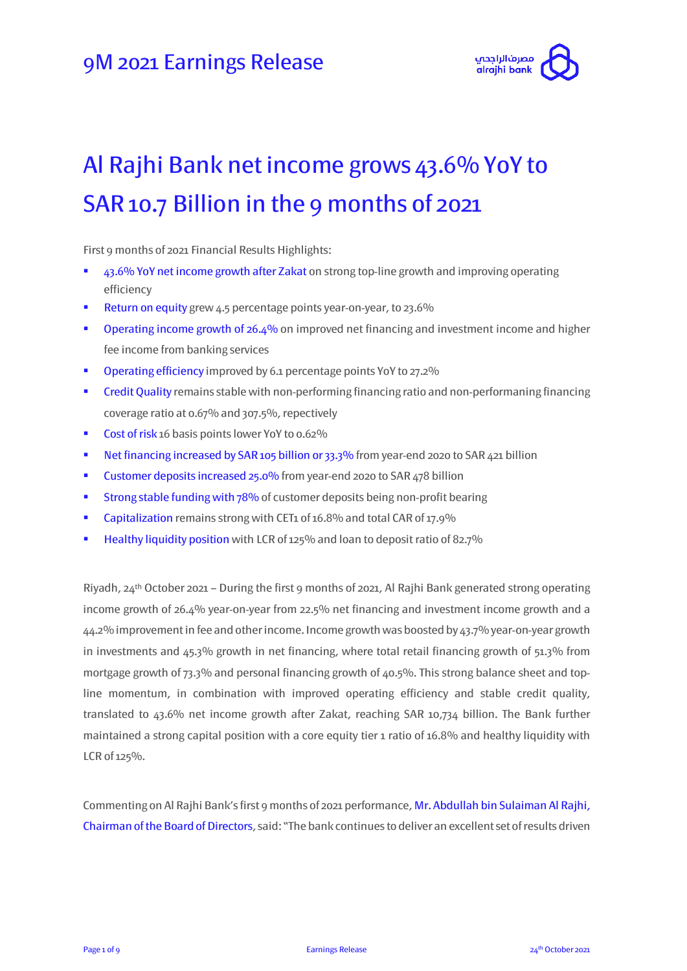

# Al Rajhi Bank net income grows 43.6% YoY to SAR 10.7 Billion in the 9 months of 2021

First 9 months of 2021 Financial Results Highlights:

- 43.6% YoY net income growth after Zakat on strong top-line growth and improving operating efficiency
- Return on equity grew 4.5 percentage points year-on-year, to 23.6%
- **•** Operating income growth of 26.4% on improved net financing and investment income and higher fee income from banking services
- **•** Operating efficiency improved by 6.1 percentage points YoY to 27.2%
- **Credit Quality remains stable with non-performing financing ratio and non-performaning financing** coverage ratio at 0.67% and 307.5%, repectively
- Cost of risk 16 basis points lower YoY to 0.62%
- Net financing increased by SAR 105 billion or 33.3% from year-end 2020 to SAR 421 billion
- **Customer deposits increased 25.0% from year-end 2020 to SAR 478 billion**
- **Strong stable funding with 78% of customer deposits being non-profit bearing**
- Capitalization remains strong with CET1 of 16.8% and total CAR of 17.9%
- **Healthy liquidity position** with LCR of 125% and loan to deposit ratio of 82.7%

Riyadh,  $24<sup>th</sup>$  October 2021 – During the first 9 months of 2021, Al Rajhi Bank generated strong operating income growth of 26.4% year-on-year from 22.5% net financing and investment income growth and a 44.2% improvement in fee and other income. Income growth was boosted by 43.7% year-on-year growth in investments and 45.3% growth in net financing, where total retail financing growth of 51.3% from mortgage growth of 73.3% and personal financing growth of 40.5%. This strong balance sheet and topline momentum, in combination with improved operating efficiency and stable credit quality, translated to 43.6% net income growth after Zakat, reaching SAR 10,734 billion. The Bank further maintained a strong capital position with a core equity tier 1 ratio of 16.8% and healthy liquidity with LCR of 125%.

Commenting on Al Rajhi Bank's first 9 months of 2021 performance, Mr. Abdullah bin Sulaiman Al Rajhi, Chairman of the Board of Directors, said: "The bank continues to deliver an excellent set of results driven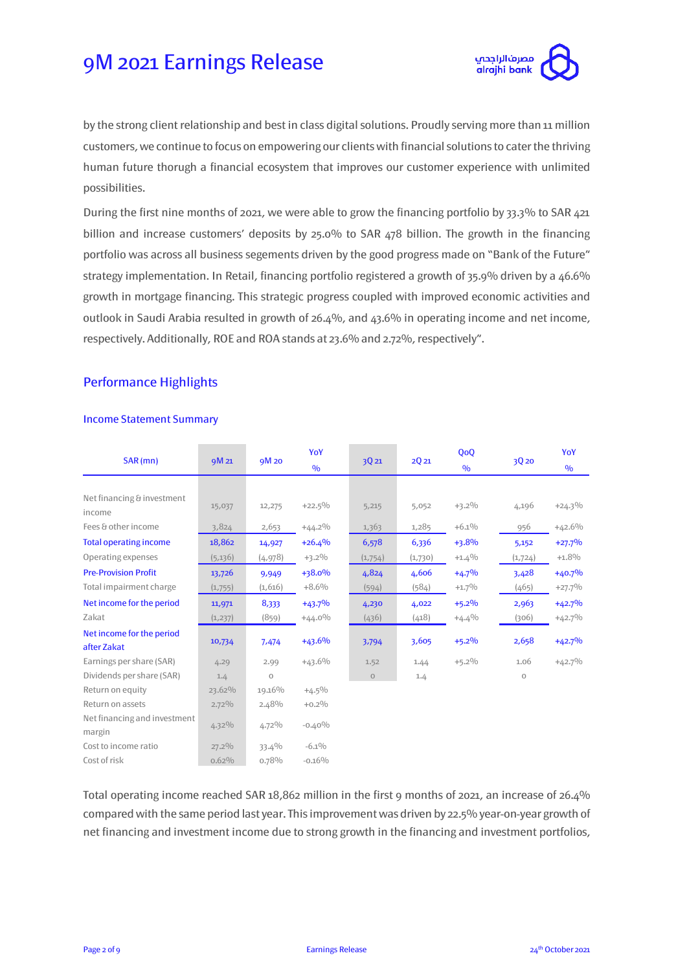

by the strong client relationship and best in class digital solutions. Proudly serving more than 11 million customers, we continue to focus on empowering our clients with financial solutions to cater the thriving human future thorugh a financial ecosystem that improves our customer experience with unlimited possibilities.

During the first nine months of 2021, we were able to grow the financing portfolio by 33.3% to SAR 421 billion and increase customers' deposits by 25.0% to SAR 478 billion. The growth in the financing portfolio was across all business segements driven by the good progress made on "Bank of the Future" strategy implementation. In Retail, financing portfolio registered a growth of 35.9% driven by a 46.6% growth in mortgage financing. This strategic progress coupled with improved economic activities and outlook in Saudi Arabia resulted in growth of 26.4%, and 43.6% in operating income and net income, respectively. Additionally, ROE and ROA stands at 23.6% and 2.72%, respectively".

### Performance Highlights

#### Income Statement Summary

| SAR (mn)                                 | 9M 21    |          | YoY           |             | 2Q21    | QoQ           |         | YoY           |
|------------------------------------------|----------|----------|---------------|-------------|---------|---------------|---------|---------------|
|                                          |          | 9M 20    | $\frac{0}{0}$ | 3Q21        |         | $\frac{0}{0}$ | 3Q20    | $\frac{0}{0}$ |
|                                          |          |          |               |             |         |               |         |               |
| Net financing & investment<br>income     | 15,037   | 12,275   | $+22.5\%$     | 5,215       | 5,052   | $+3.2\%$      | 4,196   | $+24.3\%$     |
| Fees & other income                      | 3,824    | 2,653    | $+44.2\%$     | 1,363       | 1,285   | $+6.1\%$      | 956     | $+42.6%$      |
| <b>Total operating income</b>            | 18,862   | 14,927   | $+26.4%$      | 6,578       | 6,336   | $+3.8%$       | 5,152   | $+27.7%$      |
| Operating expenses                       | (5, 136) | (4, 978) | $+3.2\%$      | (1,754)     | (1,730) | $+1.4%$       | (1,724) | $+1.8%$       |
| <b>Pre-Provision Profit</b>              | 13,726   | 9,949    | +38.0%        | 4,824       | 4,606   | $+4.7%$       | 3,428   | $+40.7%$      |
| Total impairment charge                  | (1,755)  | (1,616)  | $+8.6%$       | (594)       | (584)   | $+1.7\%$      | (465)   | $+27.7%$      |
| Net income for the period                | 11,971   | 8,333    | $+43.7%$      | 4,230       | 4,022   | $+5.2%$       | 2,963   | $+42.7%$      |
| Zakat                                    | (1, 237) | (859)    | $+44.0\%$     | (436)       | (418)   | $+4.4%$       | (306)   | $+42.7%$      |
| Net income for the period<br>after Zakat | 10,734   | 7,474    | $+43.6%$      | 3,794       | 3,605   | $+5.2%$       | 2,658   | $+42.7%$      |
| Earnings per share (SAR)                 | 4.29     | 2.99     | $+43.6%$      | 1.52        | 1.44    | $+5.2\%$      | 1.06    | $+42.7%$      |
| Dividends per share (SAR)                | 1.4      | $\circ$  |               | $\mathbf 0$ | 1.4     |               | $\circ$ |               |
| Return on equity                         | 23.62%   | 19.16%   | $+4.5\%$      |             |         |               |         |               |
| Return on assets                         | $2.72\%$ | 2.48%    | $+0.2%$       |             |         |               |         |               |
| Net financing and investment<br>margin   | $4.32\%$ | $4.72\%$ | $-0.40%$      |             |         |               |         |               |
| Cost to income ratio                     | 27.2%    | 33.4%    | $-6.1\%$      |             |         |               |         |               |
| Cost of risk                             | $0.62\%$ | 0.78%    | $-0.16%$      |             |         |               |         |               |

Total operating income reached SAR 18,862 million in the first 9 months of 2021, an increase of 26.4% compared with the same period last year. This improvement was driven by 22.5% year-on-year growth of net financing and investment income due to strong growth in the financing and investment portfolios,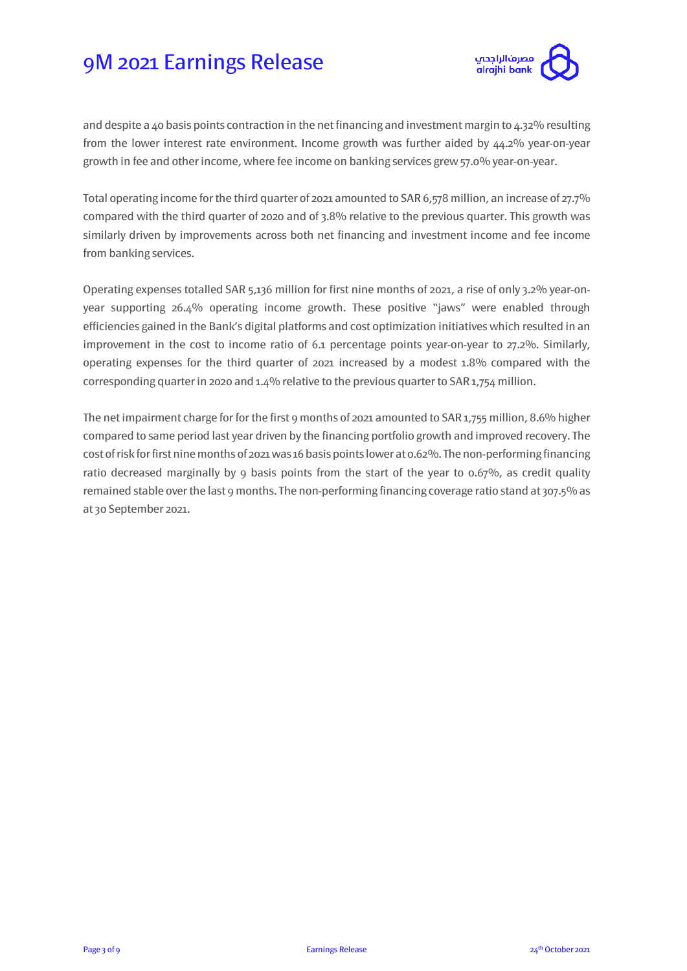

and despite a 40 basis points contraction in the net financing and investment margin to 4.32% resulting from the lower interest rate environment. Income growth was further aided by 44.2% year-on-year growth in fee and other income, where fee income on banking services grew 57.0% year-on-year.

Total operating income for the third quarter of 2021 amounted to SAR 6,578 million, an increase of 27.7% compared with the third quarter of 2020 and of 3.8% relative to the previous quarter. This growth was similarly driven by improvements across both net financing and investment income and fee income from banking services.

Operating expenses totalled SAR 5,136 million for first nine months of 2021, a rise of only 3.2% year-onyear supporting 26.4% operating income growth. These positive "jaws" were enabled through efficiencies gained in the Bank's digital platforms and cost optimization initiatives which resulted in an improvement in the cost to income ratio of 6.1 percentage points year-on-year to 27.2%. Similarly, operating expenses for the third quarter of 2021 increased by a modest 1.8% compared with the corresponding quarter in 2020 and 1.4% relative to the previous quarter to SAR 1,754 million.

The net impairment charge for for the first 9 months of 2021 amounted to SAR 1,755 million, 8.6% higher compared to same period last year driven by the financing portfolio growth and improved recovery. The cost of risk for first nine months of 2021 was 16 basis points lower at 0.62%. The non-performing financing ratio decreased marginally by 9 basis points from the start of the year to 0.67%, as credit quality remained stable over the last 9 months. The non-performing financing coverage ratio stand at 307.5% as at 30 September 2021.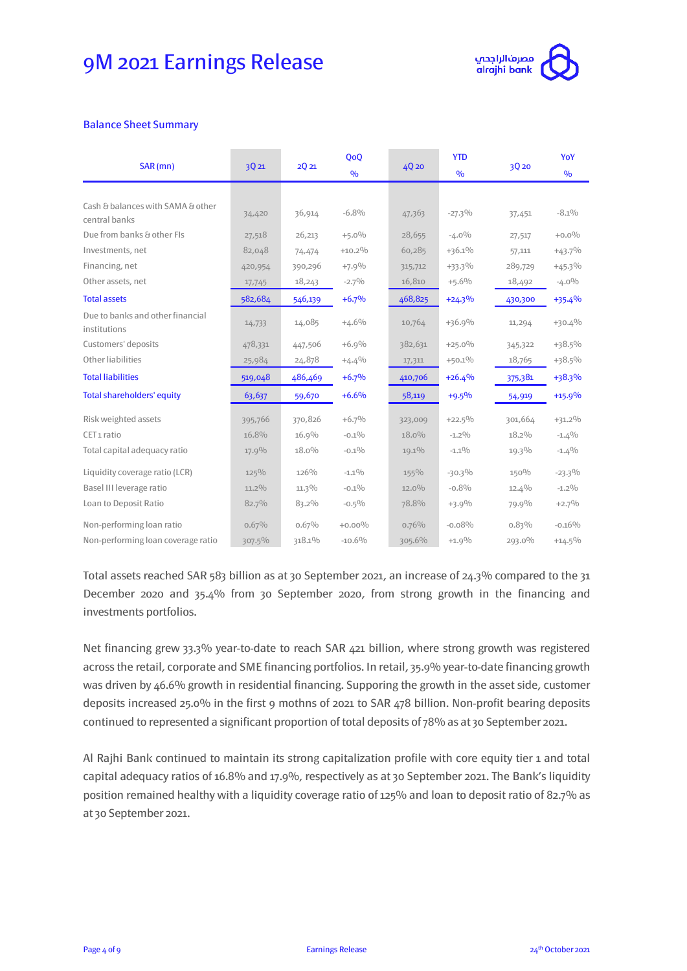

#### Balance Sheet Summary

| SAR (mn)                                           | 3Q21     | 2021     | QoQ<br>$\frac{0}{0}$ | 4Q 20    | <b>YTD</b><br>$\frac{0}{0}$ | 3Q 20    | YoY<br>$\frac{0}{0}$ |
|----------------------------------------------------|----------|----------|----------------------|----------|-----------------------------|----------|----------------------|
|                                                    |          |          |                      |          |                             |          |                      |
| Cash & balances with SAMA & other<br>central banks | 34,420   | 36,914   | $-6.8%$              | 47,363   | $-27.3%$                    | 37,451   | $-8.1\%$             |
| Due from banks & other FIs                         | 27,518   | 26,213   | $+5.0%$              | 28,655   | $-4.0\%$                    | 27,517   | $+0.0\%$             |
| Investments, net                                   | 82,048   | 74,474   | $+10.2%$             | 60,285   | $+36.1%$                    | 57,111   | $+43.7\%$            |
| Financing, net                                     | 420,954  | 390,296  | $+7.9%$              | 315,712  | $+33.3\%$                   | 289,729  | $+45.3\%$            |
| Other assets, net                                  | 17,745   | 18,243   | $-2.7\%$             | 16,810   | $+5.6%$                     | 18,492   | $-4.0\%$             |
| <b>Total assets</b>                                | 582,684  | 546,139  | $+6.7%$              | 468,825  | $+24.3%$                    | 430,300  | $+35.4%$             |
| Due to banks and other financial<br>institutions   | 14,733   | 14,085   | $+4.6%$              | 10,764   | $+36.9%$                    | 11,294   | $+30.4%$             |
| Customers' deposits                                | 478,331  | 447,506  | $+6.9%$              | 382,631  | $+25.0%$                    | 345,322  | +38.5%               |
| Other liabilities                                  | 25,984   | 24,878   | $+4.4%$              | 17,311   | $+50.1%$                    | 18,765   | $+38.5%$             |
| <b>Total liabilities</b>                           | 519,048  | 486,469  | $+6.7%$              | 410,706  | $+26.4%$                    | 375,381  | +38.3%               |
| <b>Total shareholders' equity</b>                  | 63,637   | 59,670   | $+6.6%$              | 58,119   | $+9.5%$                     | 54,919   | $+15.9%$             |
| Risk weighted assets                               | 395,766  | 370,826  | $+6.7\%$             | 323,009  | $+22.5%$                    | 301,664  | $+31.2\%$            |
| CET <sub>1</sub> ratio                             | 16.8%    | 16.9%    | $-0.1\%$             | $18.0\%$ | $-1.2\%$                    | 18.2%    | $-1.4%$              |
| Total capital adequacy ratio                       | 17.9%    | $18.0\%$ | $-0.1\%$             | 19.1%    | $-1.1\%$                    | 19.3%    | $-1.4%$              |
| Liquidity coverage ratio (LCR)                     | 125%     | 126%     | $-1.1\%$             | $155\%$  | $-30.3%$                    | 150%     | $-23.3\%$            |
| Basel III leverage ratio                           | $11.2\%$ | $11.3\%$ | $-0.1\%$             | $12.0\%$ | $-0.8%$                     | 12.4%    | $-1.2\%$             |
| Loan to Deposit Ratio                              | 82.7%    | 83.2%    | $-0.5\%$             | 78.8%    | $+3.9%$                     | 79.9%    | $+2.7%$              |
| Non-performing loan ratio                          | 0.67%    | 0.67%    | $+0.00\%$            | 0.76%    | $-0.08%$                    | $0.83\%$ | $-0.16%$             |
| Non-performing loan coverage ratio                 | 307.5%   | 318.1%   | $-10.6%$             | 305.6%   | $+1.9%$                     | 293.0%   | $+14.5\%$            |

Total assets reached SAR 583 billion as at 30 September 2021, an increase of 24.3% compared to the 31 December 2020 and 35.4% from 30 September 2020, from strong growth in the financing and investments portfolios.

Net financing grew 33.3% year-to-date to reach SAR 421 billion, where strong growth was registered across the retail, corporate and SME financing portfolios. In retail, 35.9% year-to-date financing growth was driven by 46.6% growth in residential financing. Supporing the growth in the asset side, customer deposits increased 25.0% in the first 9 mothns of 2021 to SAR 478 billion. Non-profit bearing deposits continued to represented a significant proportion of total deposits of 78% as at 30 September 2021.

Al Rajhi Bank continued to maintain its strong capitalization profile with core equity tier 1 and total capital adequacy ratios of 16.8% and 17.9%, respectively as at 30 September 2021. The Bank's liquidity position remained healthy with a liquidity coverage ratio of 125% and loan to deposit ratio of 82.7% as at 30 September 2021.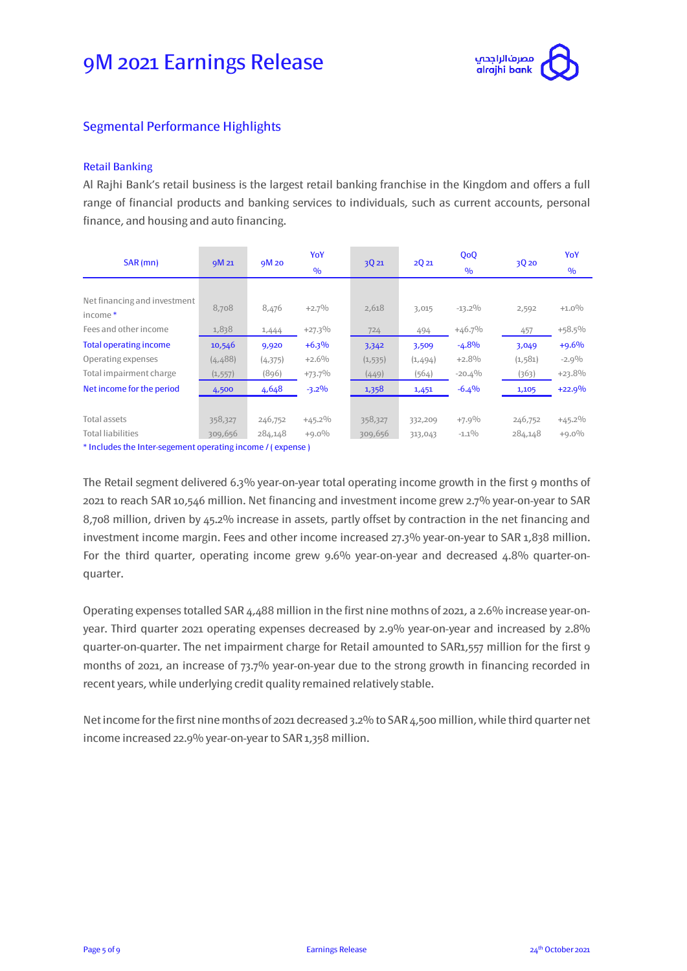

### Segmental Performance Highlights

#### Retail Banking

Al Rajhi Bank's retail business is the largest retail banking franchise in the Kingdom and offers a full range of financial products and banking services to individuals, such as current accounts, personal finance, and housing and auto financing.

| SAR (mn)                                | 9M 21    | 9M 20   | YoY           |          |         | QoQ           |          | YoY           |
|-----------------------------------------|----------|---------|---------------|----------|---------|---------------|----------|---------------|
|                                         |          |         | $\frac{0}{0}$ | 3Q21     | 2Q21    | $\frac{0}{0}$ | 3Q 20    | $\frac{0}{0}$ |
|                                         |          |         |               |          |         |               |          |               |
| Net financing and investment<br>income* | 8,708    | 8,476   | $+2.7\%$      | 2,618    | 3,015   | $-13.2\%$     | 2,592    | $+1.0%$       |
| Fees and other income                   | 1,838    | 1,444   | $+27.3%$      | 724      | 494     | $+46.7%$      | 457      | $+58.5%$      |
| <b>Total operating income</b>           | 10,546   | 9,920   | $+6.3%$       | 3,342    | 3,509   | $-4.8%$       | 3,049    | $+9.6%$       |
| Operating expenses                      | (4, 488) | (4,375) | $+2.6%$       | (1, 535) | (1,494) | $+2.8%$       | (1, 581) | $-2.9\%$      |
| Total impairment charge                 | (1, 557) | (896)   | $+73.7%$      | (449)    | (564)   | $-20.4%$      | (363)    | $+23.8%$      |
| Net income for the period               | 4,500    | 4,648   | $-3.2%$       | 1,358    | 1,451   | $-6.4%$       | 1,105    | $+22.9%$      |
|                                         |          |         |               |          |         |               |          |               |
| Total assets                            | 358,327  | 246,752 | $+45.2\%$     | 358,327  | 332,209 | $+7.9\%$      | 246,752  | $+45.2\%$     |
| <b>Total liabilities</b>                | 309,656  | 284,148 | $+9.0\%$      | 309,656  | 313,043 | $-1.1\%$      | 284,148  | $+9.0\%$      |

\* Includes the Inter-segement operating income / ( expense )

The Retail segment delivered 6.3% year-on-year total operating income growth in the first 9 months of 2021 to reach SAR 10,546 million. Net financing and investment income grew 2.7% year-on-year to SAR 8,708 million, driven by 45.2% increase in assets, partly offset by contraction in the net financing and investment income margin. Fees and other income increased 27.3% year-on-year to SAR 1,838 million. For the third quarter, operating income grew 9.6% year-on-year and decreased 4.8% quarter-onquarter.

Operating expenses totalled SAR 4,488 million in the first nine mothns of 2021, a 2.6% increase year-onyear. Third quarter 2021 operating expenses decreased by 2.9% year-on-year and increased by 2.8% quarter-on-quarter. The net impairment charge for Retail amounted to SAR1,557 million for the first 9 months of 2021, an increase of 73.7% year-on-year due to the strong growth in financing recorded in recent years, while underlying credit quality remained relatively stable.

Net income for the first nine months of 2021 decreased 3.2% to SAR 4,500 million, while third quarter net income increased 22.9% year-on-year to SAR 1,358 million.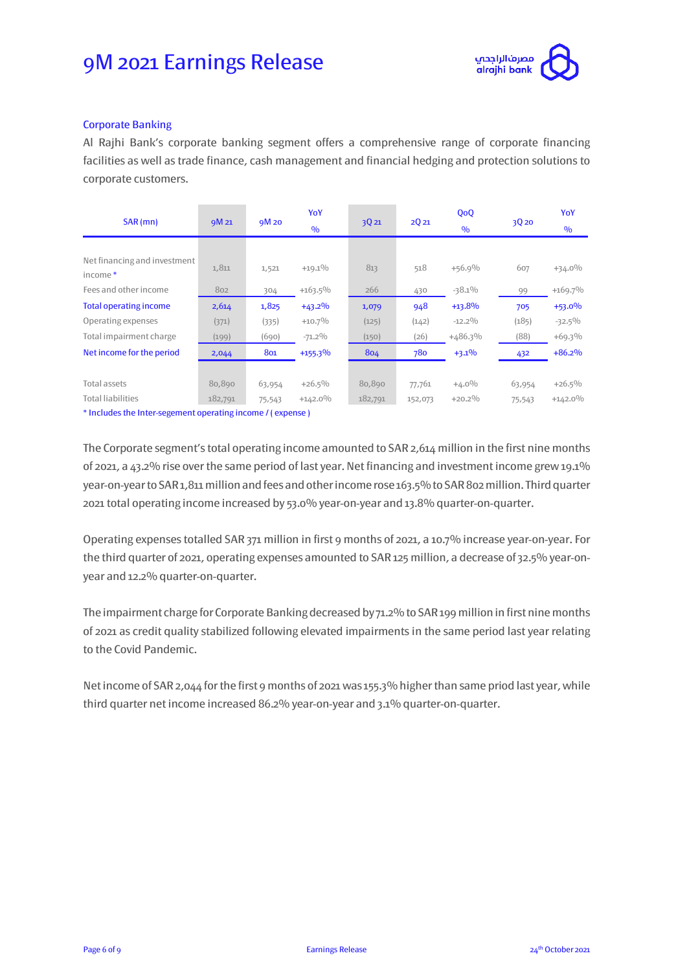

#### Corporate Banking

Al Rajhi Bank's corporate banking segment offers a comprehensive range of corporate financing facilities as well as trade finance, cash management and financial hedging and protection solutions to corporate customers.

| SAR(mn)                                                                            | 9M 21   | 9M 20  | YoY<br>$\frac{0}{0}$ | 3Q 21   | 2Q21    | QoQ<br>$\frac{0}{0}$ | 3Q 20  | YoY<br>$\frac{0}{0}$ |
|------------------------------------------------------------------------------------|---------|--------|----------------------|---------|---------|----------------------|--------|----------------------|
|                                                                                    |         |        |                      |         |         |                      |        |                      |
| Net financing and investment<br>income*                                            | 1,811   | 1,521  | $+19.1%$             | 813     | 518     | $+56.9%$             | 607    | $+34.0%$             |
| Fees and other income                                                              | 802     | 304    | $+163.5%$            | 266     | 430     | $-38.1\%$            | 99     | $+169.7%$            |
| <b>Total operating income</b>                                                      | 2,614   | 1,825  | $+43.2\%$            | 1,079   | 948     | $+13.8%$             | 705    | $+53.0%$             |
| Operating expenses                                                                 | (371)   | (335)  | $+10.7%$             | (125)   | (142)   | $-12.2\%$            | (185)  | $-32.5\%$            |
| Total impairment charge                                                            | (199)   | (690)  | $-71.2\%$            | (150)   | (26)    | $+486.3%$            | (88)   | $+69.3%$             |
| Net income for the period                                                          | 2,044   | 801    | $+155.3%$            | 804     | 780     | $+3.1\%$             | 432    | $+86.2%$             |
|                                                                                    |         |        |                      |         |         |                      |        |                      |
| <b>Total assets</b>                                                                | 80,890  | 63,954 | $+26.5%$             | 80,890  | 77,761  | $+4.0\%$             | 63,954 | $+26.5%$             |
| <b>Total liabilities</b>                                                           | 182,791 | 75,543 | $+142.0%$            | 182,791 | 152,073 | $+20.2%$             | 75,543 | $+142.0\%$           |
| the students of the figure and account and account the same of the construction of |         |        |                      |         |         |                      |        |                      |

Includes the Inter-segement operating income / ( expense )

The Corporate segment's total operating income amounted to SAR 2,614 million in the first nine months of 2021, a 43.2% rise over the same period of last year. Net financing and investment income grew 19.1% year-on-year to SAR 1,811 million and fees and other income rose 163.5% to SAR 802 million. Third quarter 2021total operating income increased by 53.0% year-on-year and 13.8% quarter-on-quarter.

Operating expenses totalled SAR 371 million in first 9 months of 2021, a 10.7% increase year-on-year. For the third quarter of 2021, operating expenses amounted to SAR 125 million, a decrease of 32.5% year-onyear and 12.2% quarter-on-quarter.

The impairment charge for Corporate Banking decreased by 71.2% to SAR 199 million in first nine months of 2021 as credit quality stabilized following elevated impairments in the same period last year relating to the Covid Pandemic.

Net income of SAR 2,044 for the first 9 months of 2021 was 155.3% higher than same priod last year, while third quarter net income increased 86.2% year-on-year and 3.1% quarter-on-quarter.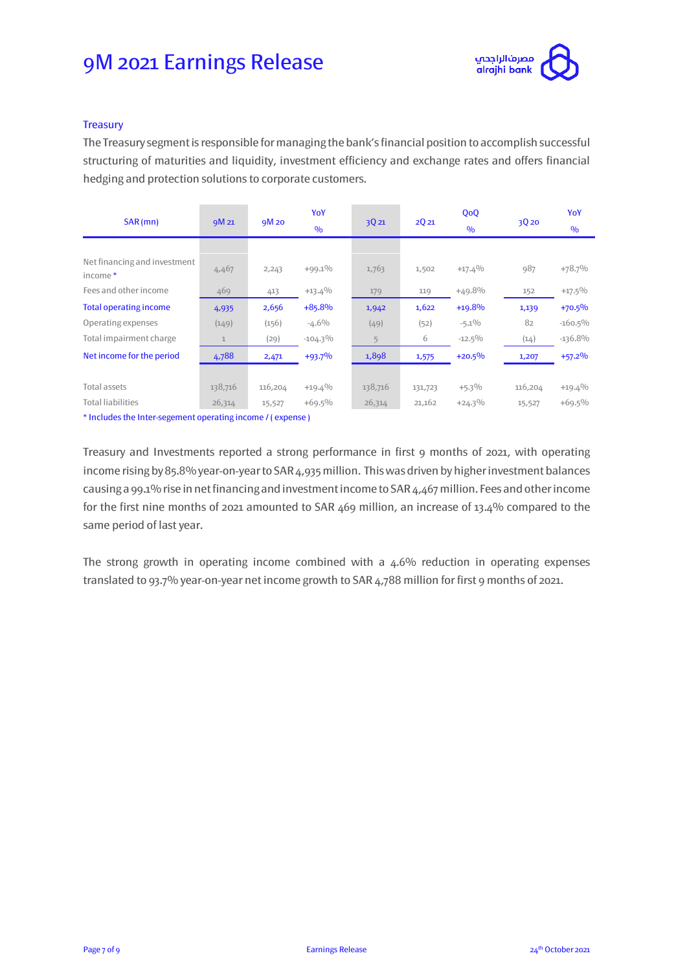

#### **Treasury**

The Treasury segmentis responsible for managing the bank's financial position to accomplish successful structuring of maturities and liquidity, investment efficiency and exchange rates and offers financial hedging and protection solutions to corporate customers.

| SAR (mn)                                                                                                                                                                                                                       | 9M 21        | 9M 20   | YoY<br>$\frac{0}{0}$ | 3Q21    | 2Q21    | QoQ<br>$\frac{0}{0}$ | 3Q 20   | YoY<br>$\frac{0}{0}$ |
|--------------------------------------------------------------------------------------------------------------------------------------------------------------------------------------------------------------------------------|--------------|---------|----------------------|---------|---------|----------------------|---------|----------------------|
|                                                                                                                                                                                                                                |              |         |                      |         |         |                      |         |                      |
| Net financing and investment<br>income*                                                                                                                                                                                        | 4,467        | 2,243   | $+99.1\%$            | 1,763   | 1,502   | $+17.4%$             | 987     | $+78.7%$             |
| Fees and other income                                                                                                                                                                                                          | 469          | 413     | $+13.4%$             | 179     | 119     | $+49.8%$             | 152     | $+17.5\%$            |
| <b>Total operating income</b>                                                                                                                                                                                                  | 4,935        | 2,656   | $+85.8%$             | 1,942   | 1,622   | $+19.8%$             | 1,139   | $+70.5%$             |
| Operating expenses                                                                                                                                                                                                             | (149)        | (156)   | $-4.6\%$             | (49)    | (52)    | $-5.1\%$             | 82      | $-160.5\%$           |
| Total impairment charge                                                                                                                                                                                                        | $\mathbf{1}$ | (29)    | $-104.3\%$           | 5       | 6       | $-12.5\%$            | (14)    | $-136.8%$            |
| Net income for the period                                                                                                                                                                                                      | 4,788        | 2,471   | $+93.7%$             | 1,898   | 1,575   | $+20.5%$             | 1,207   | $+57.2%$             |
|                                                                                                                                                                                                                                |              |         |                      |         |         |                      |         |                      |
| <b>Total assets</b>                                                                                                                                                                                                            | 138,716      | 116,204 | $+19.4%$             | 138,716 | 131,723 | $+5.3\%$             | 116,204 | $+19.4%$             |
| <b>Total liabilities</b>                                                                                                                                                                                                       | 26,314       | 15,527  | $+69.5%$             | 26,314  | 21,162  | $+24.3\%$            | 15,527  | $+69.5%$             |
| the state of the state of the state of the state of the state of the state of the state of the state of the state of the state of the state of the state of the state of the state of the state of the state of the state of t |              |         |                      |         |         |                      |         |                      |

\* Includes the Inter-segement operating income / ( expense )

Treasury and Investments reported a strong performance in first 9 months of 2021, with operating income rising by 85.8% year-on-year to SAR 4,935 million. This was driven by higher investment balances causing a 99.1% rise in net financing and investment income to SAR 4,467 million. Fees and other income for the first nine months of 2021 amounted to SAR 469 million, an increase of 13.4% compared to the same period of last year.

The strong growth in operating income combined with a 4.6% reduction in operating expenses translated to 93.7% year-on-year net income growth to SAR 4,788 million for first 9 months of 2021.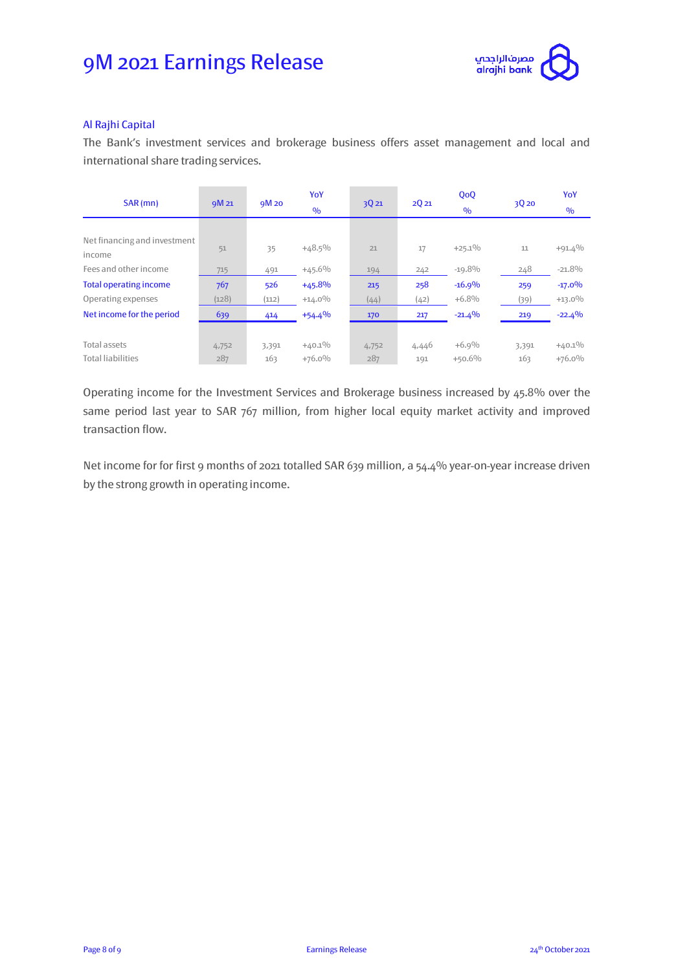

#### Al Rajhi Capital

The Bank's investment services and brokerage business offers asset management and local and international share trading services.

| SAR (mn)                               | 9M 21 | 9M 20 | YoY<br>$\frac{0}{0}$ | 3Q21  | 2Q21  | QoQ<br>$\frac{0}{0}$ | 3020  | YoY<br>$\%$ |
|----------------------------------------|-------|-------|----------------------|-------|-------|----------------------|-------|-------------|
|                                        |       |       |                      |       |       |                      |       |             |
| Net financing and investment<br>income | 51    | 35    | $+48.5\%$            | 21    | 17    | $+25.1%$             | 11    | $+91.4%$    |
| Fees and other income                  | 715   | 491   | $+45.6%$             | 194   | 242   | $-19.8%$             | 248   | $-21.8%$    |
| <b>Total operating income</b>          | 767   | 526   | $+45.8%$             | 215   | 258   | $-16.9%$             | 259   | $-17.0%$    |
| Operating expenses                     | (128) | (112) | $+14.0%$             | (44)  | (42)  | $+6.8%$              | (39)  | $+13.0%$    |
| Net income for the period              | 639   | 414   | $+54.4%$             | 170   | 217   | $-21.4%$             | 219   | $-22.4%$    |
|                                        |       |       |                      |       |       |                      |       |             |
| <b>Total assets</b>                    | 4,752 | 3,391 | $+40.1\%$            | 4,752 | 4,446 | $+6.9%$              | 3,391 | $+40.1\%$   |
| <b>Total liabilities</b>               | 287   | 163   | $+76.0%$             | 287   | 191   | $+50.6%$             | 163   | $+76.0%$    |

Operating income for the Investment Services and Brokerage business increased by 45.8% over the same period last year to SAR 767 million, from higher local equity market activity and improved transaction flow.

Net income for for first 9 months of 2021 totalled SAR 639 million, a 54.4% year-on-year increase driven by the strong growth in operating income.